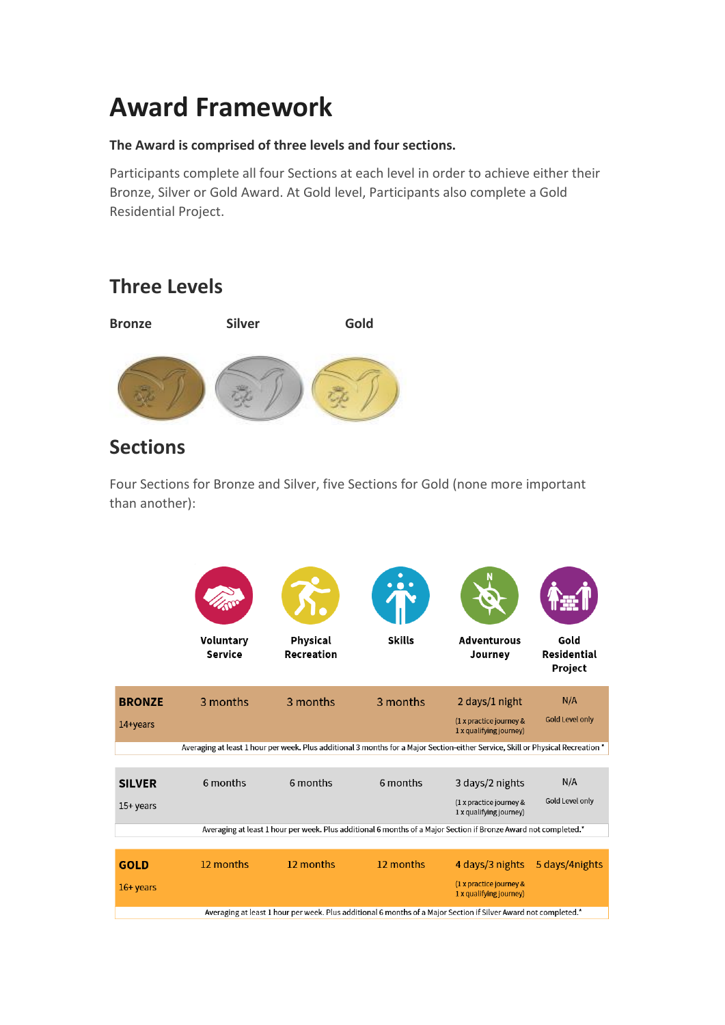# **Award Framework**

#### **The Award is comprised of three levels and four sections.**

Participants complete all four Sections at each level in order to achieve either their Bronze, Silver or Gold Award. At Gold level, Participants also complete a Gold Residential Project.

## **Three Levels**



### **Sections**

Four Sections for Bronze and Silver, five Sections for Gold (none more important than another):

|               | Voluntary<br>Service                                                                                                            | Physical<br>Recreation | <b>Skills</b>                                                                                                   | <b>Adventurous</b><br>Journey                      | Gold<br>Residential<br>Project |
|---------------|---------------------------------------------------------------------------------------------------------------------------------|------------------------|-----------------------------------------------------------------------------------------------------------------|----------------------------------------------------|--------------------------------|
| <b>BRONZE</b> | 3 months                                                                                                                        | 3 months               | 3 months                                                                                                        | 2 days/1 night                                     | N/A                            |
| 14+years      |                                                                                                                                 |                        |                                                                                                                 | (1 x practice journey &<br>1 x qualifying journey) | <b>Gold Level only</b>         |
|               | Averaging at least 1 hour per week. Plus additional 3 months for a Major Section-either Service, Skill or Physical Recreation * |                        |                                                                                                                 |                                                    |                                |
| <b>SILVER</b> | 6 months                                                                                                                        | 6 months               | 6 months                                                                                                        | 3 days/2 nights                                    | N/A                            |
| 15+ years     |                                                                                                                                 |                        |                                                                                                                 | (1 x practice journey &<br>1 x qualifying journey) | Gold Level only                |
|               |                                                                                                                                 |                        | Averaging at least 1 hour per week. Plus additional 6 months of a Major Section if Bronze Award not completed.* |                                                    |                                |
| <b>GOLD</b>   | 12 months                                                                                                                       | 12 months              | 12 months                                                                                                       | 4 days/3 nights                                    | 5 days/4nights                 |
| $16+$ years   |                                                                                                                                 |                        |                                                                                                                 | (1 x practice journey &<br>1 x qualifying journey) |                                |
|               | Averaging at least 1 hour per week. Plus additional 6 months of a Major Section if Silver Award not completed.*                 |                        |                                                                                                                 |                                                    |                                |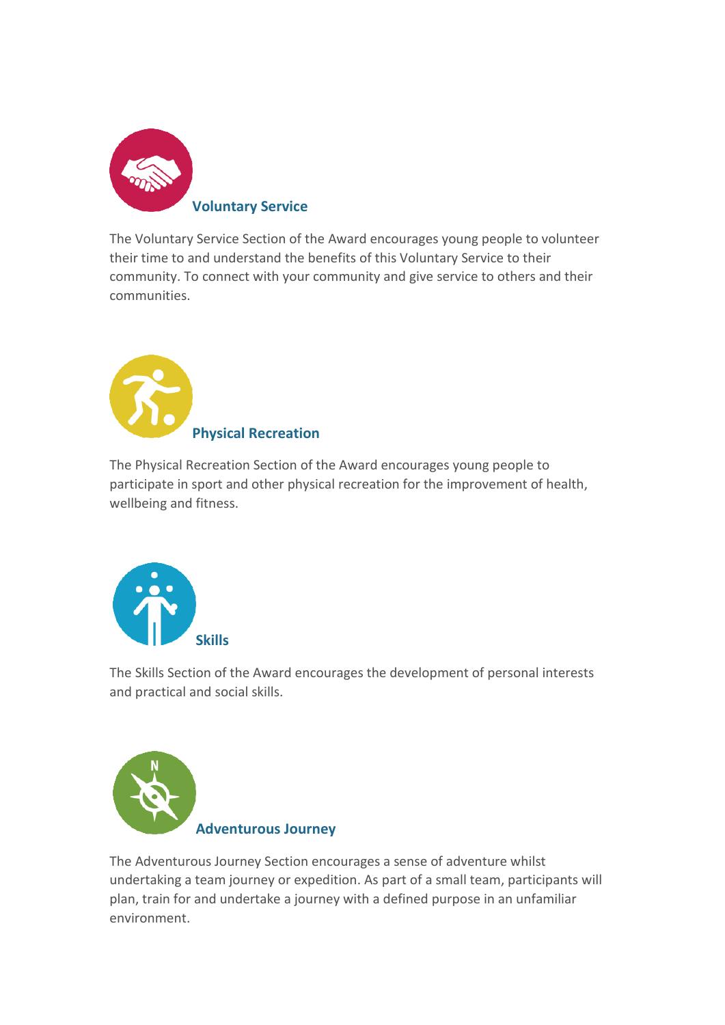

The Voluntary Service Section of the Award encourages young people to volunteer their time to and understand the benefits of this Voluntary Service to their community. To connect with your community and give service to others and their communities.



The Physical Recreation Section of the Award encourages young people to participate in sport and other physical recreation for the improvement of health, wellbeing and fitness.



The Skills Section of the Award encourages the development of personal interests and practical and social skills.



The Adventurous Journey Section encourages a sense of adventure whilst undertaking a team journey or expedition. As part of a small team, participants will plan, train for and undertake a journey with a defined purpose in an unfamiliar environment.